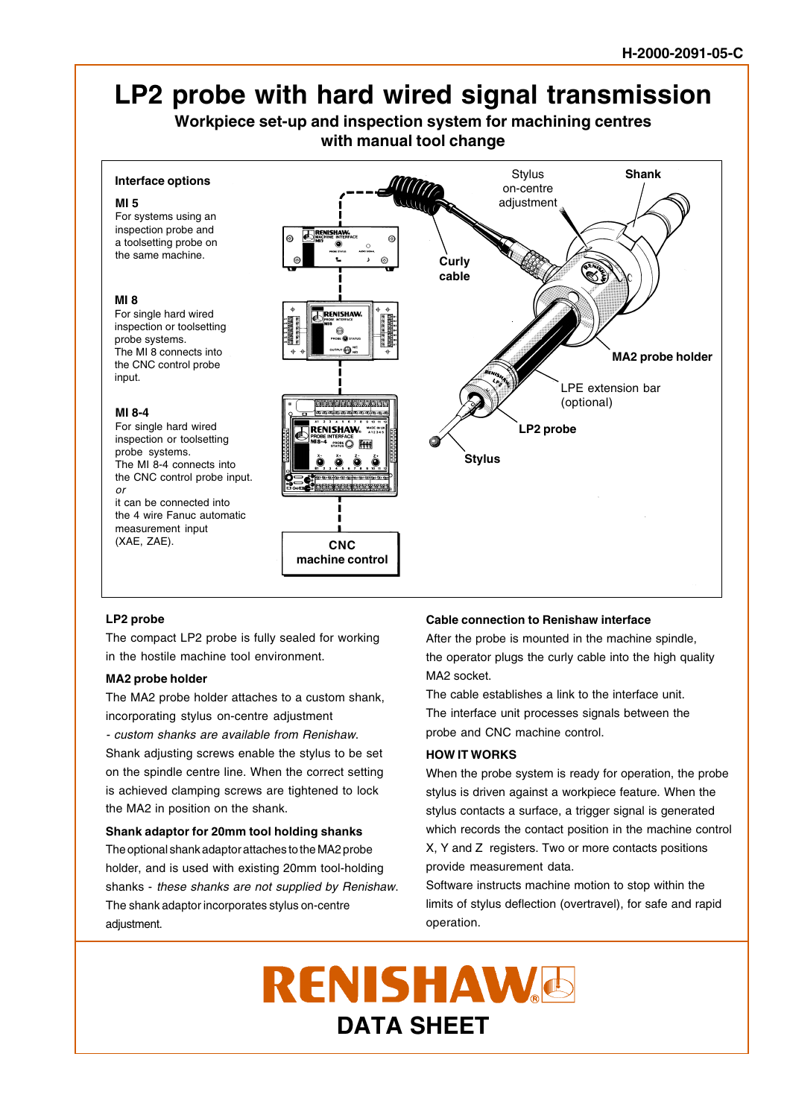# **LP2 probe with hard wired signal transmission**

**Workpiece set-up and inspection system for machining centres with manual tool change**

# **Interface options**

#### **MI 5**

For systems using an inspection probe and a toolsetting probe on the same machine.

#### **MI 8**

For single hard wired inspection or toolsetting probe systems. The MI 8 connects into the CNC control probe input.

## **MI 8-4**

For single hard wired inspection or toolsetting probe systems. The MI 8-4 connects into the CNC control probe input. or it can be connected into

the 4 wire Fanuc automatic measurement input (XAE, ZAE).



## **LP2 probe**

The compact LP2 probe is fully sealed for working in the hostile machine tool environment.

## **MA2 probe holder**

The MA2 probe holder attaches to a custom shank, incorporating stylus on-centre adjustment

- custom shanks are available from Renishaw. Shank adjusting screws enable the stylus to be set on the spindle centre line. When the correct setting

is achieved clamping screws are tightened to lock the MA2 in position on the shank.

## **Shank adaptor for 20mm tool holding shanks**

The optional shank adaptor attaches to the MA2 probe holder, and is used with existing 20mm tool-holding shanks - these shanks are not supplied by Renishaw. The shank adaptor incorporates stylus on-centre adjustment.

## **Cable connection to Renishaw interface**

After the probe is mounted in the machine spindle, the operator plugs the curly cable into the high quality MA2 socket.

The cable establishes a link to the interface unit. The interface unit processes signals between the probe and CNC machine control.

# **HOW IT WORKS**

When the probe system is ready for operation, the probe stylus is driven against a workpiece feature. When the stylus contacts a surface, a trigger signal is generated which records the contact position in the machine control X, Y and Z registers. Two or more contacts positions provide measurement data.

Software instructs machine motion to stop within the limits of stylus deflection (overtravel), for safe and rapid operation.

RENISHAW<sup>6</sup> **DATA SHEET**